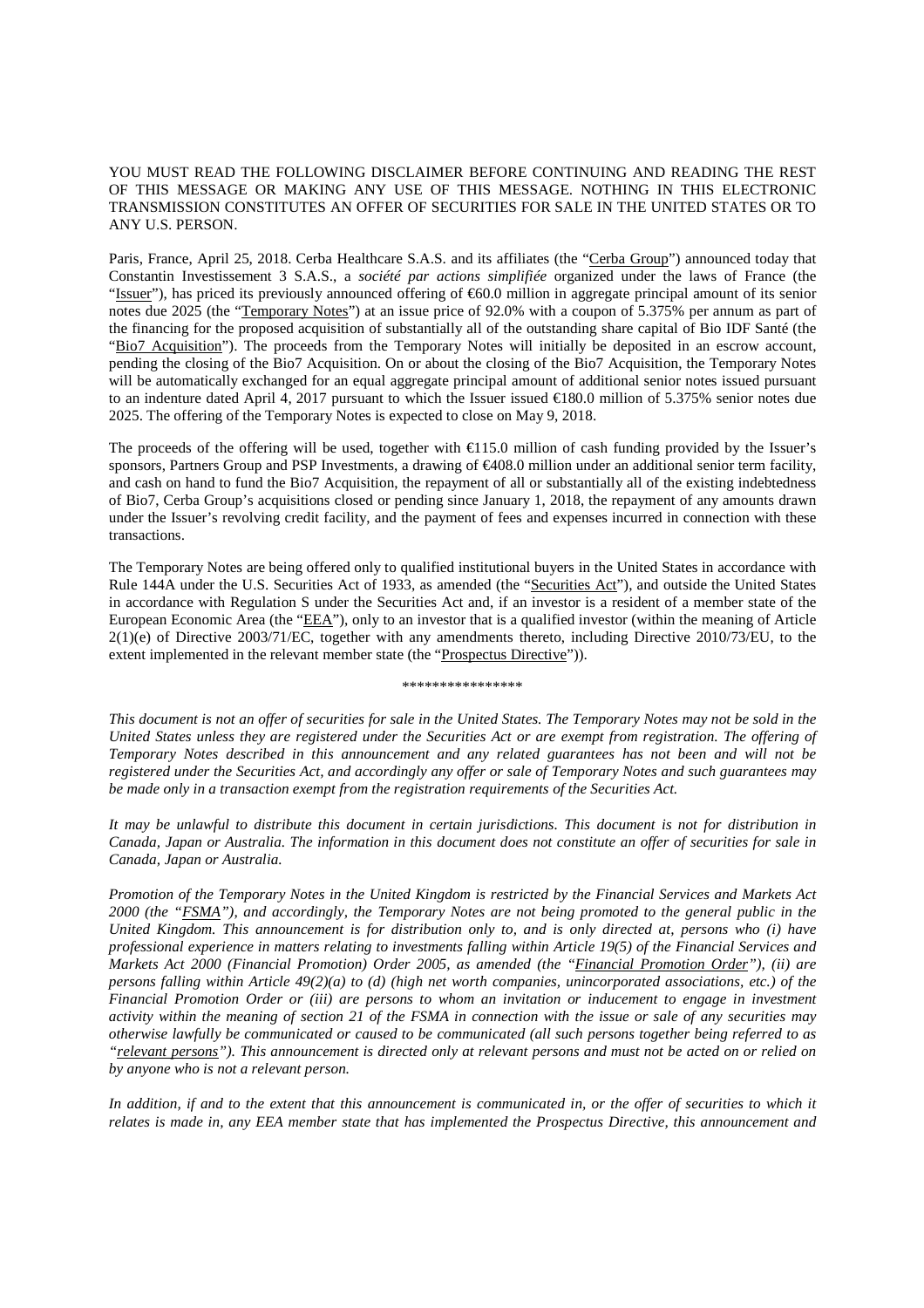## YOU MUST READ THE FOLLOWING DISCLAIMER BEFORE CONTINUING AND READING THE REST OF THIS MESSAGE OR MAKING ANY USE OF THIS MESSAGE. NOTHING IN THIS ELECTRONIC TRANSMISSION CONSTITUTES AN OFFER OF SECURITIES FOR SALE IN THE UNITED STATES OR TO ANY U.S. PERSON.

Paris, France, April 25, 2018. Cerba Healthcare S.A.S. and its affiliates (the "Cerba Group") announced today that Constantin Investissement 3 S.A.S., a *société par actions simplifiée* organized under the laws of France (the "Issuer"), has priced its previously announced offering of €60.0 million in aggregate principal amount of its senior notes due 2025 (the "Temporary Notes") at an issue price of 92.0% with a coupon of 5.375% per annum as part of the financing for the proposed acquisition of substantially all of the outstanding share capital of Bio IDF Santé (the "Bio7 Acquisition"). The proceeds from the Temporary Notes will initially be deposited in an escrow account, pending the closing of the Bio7 Acquisition. On or about the closing of the Bio7 Acquisition, the Temporary Notes will be automatically exchanged for an equal aggregate principal amount of additional senior notes issued pursuant to an indenture dated April 4, 2017 pursuant to which the Issuer issued  $\epsilon$ 180.0 million of 5.375% senior notes due 2025. The offering of the Temporary Notes is expected to close on May 9, 2018.

The proceeds of the offering will be used, together with €115.0 million of cash funding provided by the Issuer's sponsors, Partners Group and PSP Investments, a drawing of €408.0 million under an additional senior term facility, and cash on hand to fund the Bio7 Acquisition, the repayment of all or substantially all of the existing indebtedness of Bio7, Cerba Group's acquisitions closed or pending since January 1, 2018, the repayment of any amounts drawn under the Issuer's revolving credit facility, and the payment of fees and expenses incurred in connection with these transactions.

The Temporary Notes are being offered only to qualified institutional buyers in the United States in accordance with Rule 144A under the U.S. Securities Act of 1933, as amended (the "Securities Act"), and outside the United States in accordance with Regulation S under the Securities Act and, if an investor is a resident of a member state of the European Economic Area (the "EEA"), only to an investor that is a qualified investor (within the meaning of Article  $2(1)(e)$  of Directive 2003/71/EC, together with any amendments thereto, including Directive 2010/73/EU, to the extent implemented in the relevant member state (the "Prospectus Directive")).

\*\*\*\*\*\*\*\*\*\*\*\*\*\*\*\*

*This document is not an offer of securities for sale in the United States. The Temporary Notes may not be sold in the United States unless they are registered under the Securities Act or are exempt from registration. The offering of Temporary Notes described in this announcement and any related guarantees has not been and will not be registered under the Securities Act, and accordingly any offer or sale of Temporary Notes and such guarantees may be made only in a transaction exempt from the registration requirements of the Securities Act.* 

*It may be unlawful to distribute this document in certain jurisdictions. This document is not for distribution in Canada, Japan or Australia. The information in this document does not constitute an offer of securities for sale in Canada, Japan or Australia.* 

*Promotion of the Temporary Notes in the United Kingdom is restricted by the Financial Services and Markets Act 2000 (the "FSMA"), and accordingly, the Temporary Notes are not being promoted to the general public in the United Kingdom. This announcement is for distribution only to, and is only directed at, persons who (i) have professional experience in matters relating to investments falling within Article 19(5) of the Financial Services and Markets Act 2000 (Financial Promotion) Order 2005, as amended (the "Financial Promotion Order"), (ii) are persons falling within Article 49(2)(a) to (d) (high net worth companies, unincorporated associations, etc.) of the Financial Promotion Order or (iii) are persons to whom an invitation or inducement to engage in investment activity within the meaning of section 21 of the FSMA in connection with the issue or sale of any securities may otherwise lawfully be communicated or caused to be communicated (all such persons together being referred to as "relevant persons"). This announcement is directed only at relevant persons and must not be acted on or relied on by anyone who is not a relevant person.* 

In addition, if and to the extent that this announcement is communicated in, or the offer of securities to which it *relates is made in, any EEA member state that has implemented the Prospectus Directive, this announcement and*